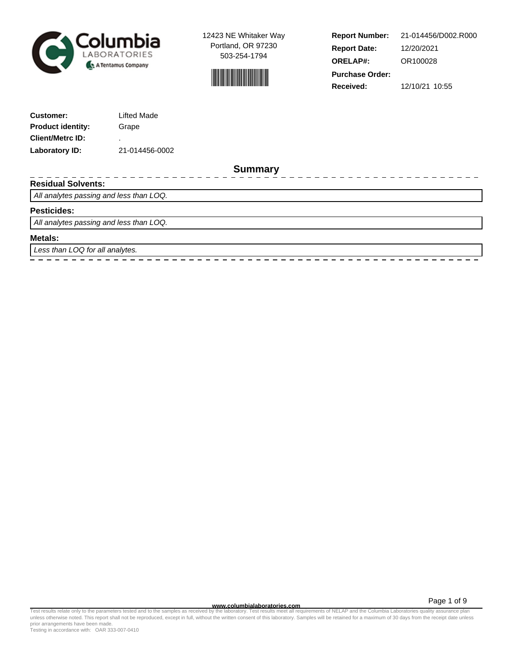



-------------

**Report Number: Report Date: ORELAP#:** 12/20/2021 OR100028 **Received:** 12/10/21 10:55 **Purchase Order:** 21-014456/D002.R000

| <b>Customer:</b>         | Lifted Made    |
|--------------------------|----------------|
| <b>Product identity:</b> | Grape          |
| <b>Client/Metrc ID:</b>  | ٠              |
| Laboratory ID:           | 21-014456-0002 |

**Summary**

 $-$ 

 $- - - - - - -$ 

 $-$ 

## **Residual Solvents:**

All analytes passing and less than LOQ.

## **Pesticides:**

All analytes passing and less than LOQ.

\_\_\_\_\_\_\_\_\_\_\_\_\_\_\_

### **Metals:**

Less than LOQ for all analytes.

**www.columbialaboratories.com**

Page 1 of 9

Test results relate only to the parameters tested and to the samples as received by the laboratory. Test results meet all requirements of NELAP and the Columbia Laboratories quality assurance plan<br>unless otherwise noted. T prior arrangements have been made.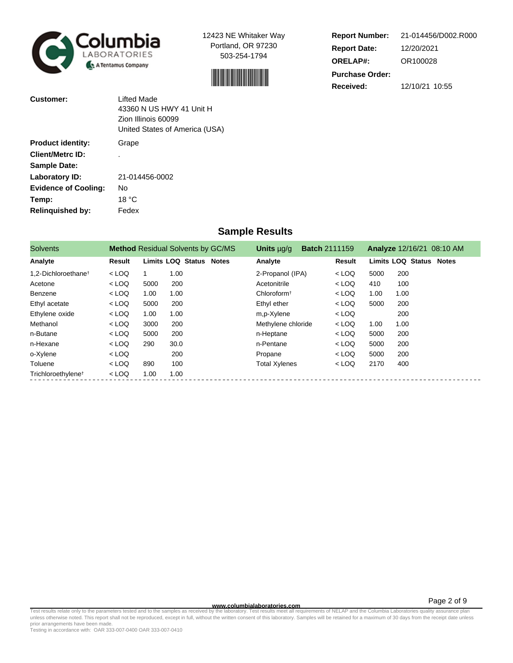



| <b>Report Number:</b>  | 21-014456/D002.R000 |
|------------------------|---------------------|
| <b>Report Date:</b>    | 12/20/2021          |
| <b>ORELAP#:</b>        | OR100028            |
| <b>Purchase Order:</b> |                     |
| Received:              | 12/10/21 10:55      |

| Customer:                   | Lifted Made<br>43360 N US HWY 41 Unit H<br>Zion Illinois 60099<br>United States of America (USA) |
|-----------------------------|--------------------------------------------------------------------------------------------------|
| <b>Product identity:</b>    | Grape                                                                                            |
| <b>Client/Metrc ID:</b>     |                                                                                                  |
| <b>Sample Date:</b>         |                                                                                                  |
| Laboratory ID:              | 21-014456-0002                                                                                   |
| <b>Evidence of Cooling:</b> | No                                                                                               |
| Temp:                       | 18 °C                                                                                            |
| <b>Relinquished by:</b>     | Fedex                                                                                            |

# **Sample Results**

| <b>Solvents</b>                 |         |      | <b>Method Residual Solvents by GC/MS</b> | <b>Batch 2111159</b><br>Units $\mu q/q$ |         |      | <b>Analyze 12/16/21 08:10 AM</b> |
|---------------------------------|---------|------|------------------------------------------|-----------------------------------------|---------|------|----------------------------------|
| Analyte                         | Result  |      | <b>Limits LOQ Status Notes</b>           | Analyte                                 | Result  |      | <b>Limits LOQ Status Notes</b>   |
| 1.2-Dichloroethane <sup>t</sup> | $<$ LOQ |      | 1.00                                     | 2-Propanol (IPA)                        | $<$ LOQ | 5000 | 200                              |
| Acetone                         | $<$ LOQ | 5000 | 200                                      | Acetonitrile                            | $<$ LOQ | 410  | 100                              |
| Benzene                         | $<$ LOQ | 1.00 | 1.00                                     | Chloroform <sup>+</sup>                 | $<$ LOQ | 1.00 | 1.00                             |
| Ethyl acetate                   | $<$ LOQ | 5000 | 200                                      | Ethyl ether                             | $<$ LOQ | 5000 | 200                              |
| Ethylene oxide                  | $<$ LOQ | 1.00 | 1.00                                     | m,p-Xylene                              | $<$ LOQ |      | 200                              |
| Methanol                        | $<$ LOQ | 3000 | 200                                      | Methylene chloride                      | $<$ LOQ | 1.00 | 1.00                             |
| n-Butane                        | $<$ LOQ | 5000 | 200                                      | n-Heptane                               | $<$ LOQ | 5000 | 200                              |
| n-Hexane                        | $<$ LOQ | 290  | 30.0                                     | n-Pentane                               | $<$ LOQ | 5000 | 200                              |
| o-Xylene                        | $<$ LOQ |      | 200                                      | Propane                                 | $<$ LOQ | 5000 | 200                              |
| Toluene                         | $<$ LOQ | 890  | 100                                      | <b>Total Xylenes</b>                    | $<$ LOQ | 2170 | 400                              |
| Trichloroethylene <sup>t</sup>  | $<$ LOQ | 1.00 | 1.00                                     |                                         |         |      |                                  |

**WWW.columbialaboratories.com**<br>unless otherwise noted. This report shall not be reproduced, except in full, without the written consent of this laboratory. Test results meet all requirements of NELAP and the Columbia Labor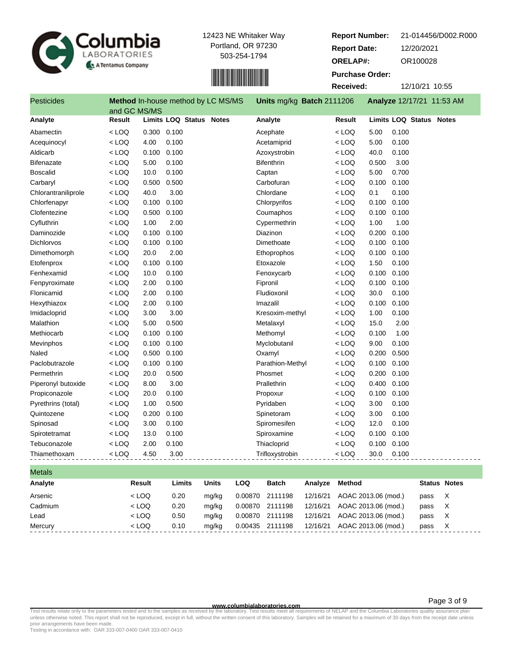



**Report Number: Report Date: ORELAP#:** 12/20/2021 OR100028 **Received:** 12/10/21 10:55 **Purchase Order:** 21-014456/D002.R000

| <b>Pesticides</b>   |                        |         | <b>Method In-house method by LC MS/MS</b> |              |         | Units mg/kg Batch 2111206 |          |                     |       | Analyze 12/17/21 11:53 AM      |                     |   |
|---------------------|------------------------|---------|-------------------------------------------|--------------|---------|---------------------------|----------|---------------------|-------|--------------------------------|---------------------|---|
| Analyte             | and GC MS/MS<br>Result |         | <b>Limits LOQ Status Notes</b>            |              |         | Analyte                   |          | Result              |       | <b>Limits LOQ Status Notes</b> |                     |   |
| Abamectin           | $<$ LOQ                |         | 0.300 0.100                               |              |         | Acephate                  |          | $<$ LOQ             | 5.00  | 0.100                          |                     |   |
| Acequinocyl         | $<$ LOQ                | 4.00    | 0.100                                     |              |         | Acetamiprid               |          | $<$ LOQ             | 5.00  | 0.100                          |                     |   |
| Aldicarb            | $<$ LOQ                | 0.100   | 0.100                                     |              |         | Azoxystrobin              |          | $<$ LOQ             | 40.0  | 0.100                          |                     |   |
| <b>Bifenazate</b>   | < LOQ                  | 5.00    | 0.100                                     |              |         | <b>Bifenthrin</b>         |          | $<$ LOQ             | 0.500 | 3.00                           |                     |   |
| <b>Boscalid</b>     | < LOQ                  | 10.0    | 0.100                                     |              |         | Captan                    |          | $<$ LOQ             | 5.00  | 0.700                          |                     |   |
| Carbaryl            | $<$ LOQ                | 0.500   | 0.500                                     |              |         | Carbofuran                |          | $<$ LOQ             | 0.100 | 0.100                          |                     |   |
| Chlorantraniliprole | $<$ LOQ                | 40.0    | 3.00                                      |              |         | Chlordane                 |          | $<$ LOQ             | 0.1   | 0.100                          |                     |   |
| Chlorfenapyr        | $<$ LOQ                | 0.100   | 0.100                                     |              |         | Chlorpyrifos              |          | $<$ LOQ             | 0.100 | 0.100                          |                     |   |
| Clofentezine        | < LOQ                  | 0.500   | 0.100                                     |              |         | Coumaphos                 |          | $<$ LOQ             | 0.100 | 0.100                          |                     |   |
| Cyfluthrin          | $<$ LOQ                | 1.00    | 2.00                                      |              |         | Cypermethrin              |          | $<$ LOQ             | 1.00  | 1.00                           |                     |   |
| Daminozide          | $<$ LOQ                | 0.100   | 0.100                                     |              |         | <b>Diazinon</b>           |          | $<$ LOQ             | 0.200 | 0.100                          |                     |   |
| <b>Dichlorvos</b>   | $<$ LOQ                | 0.100   | 0.100                                     |              |         | Dimethoate                |          | $<$ LOQ             | 0.100 | 0.100                          |                     |   |
| Dimethomorph        | $<$ LOQ                | 20.0    | 2.00                                      |              |         | Ethoprophos               |          | $<$ LOQ             | 0.100 | 0.100                          |                     |   |
| Etofenprox          | < LOQ                  | 0.100   | 0.100                                     |              |         | Etoxazole                 |          | $<$ LOQ             | 1.50  | 0.100                          |                     |   |
| Fenhexamid          | $<$ LOQ                | 10.0    | 0.100                                     |              |         | Fenoxycarb                |          | $<$ LOQ             | 0.100 | 0.100                          |                     |   |
| Fenpyroximate       | $<$ LOQ                | 2.00    | 0.100                                     |              |         | Fipronil                  |          | $<$ LOQ             | 0.100 | 0.100                          |                     |   |
| Flonicamid          | < LOQ                  | 2.00    | 0.100                                     |              |         | Fludioxonil               |          | $<$ LOQ             | 30.0  | 0.100                          |                     |   |
| Hexythiazox         | < LOQ                  | 2.00    | 0.100                                     |              |         | Imazalil                  |          | $<$ LOQ             | 0.100 | 0.100                          |                     |   |
| Imidacloprid        | $<$ LOQ                | 3.00    | 3.00                                      |              |         | Kresoxim-methyl           |          | $<$ LOQ             | 1.00  | 0.100                          |                     |   |
| Malathion           | $<$ LOQ                | 5.00    | 0.500                                     |              |         | Metalaxyl                 |          | $<$ LOQ             | 15.0  | 2.00                           |                     |   |
| Methiocarb          | $<$ LOQ                | 0.100   | 0.100                                     |              |         | Methomyl                  |          | $<$ LOQ             | 0.100 | 1.00                           |                     |   |
| Mevinphos           | $<$ LOQ                | 0.100   | 0.100                                     |              |         | Myclobutanil              |          | $<$ LOQ             | 9.00  | 0.100                          |                     |   |
| Naled               | $<$ LOQ                | 0.500   | 0.100                                     |              |         | Oxamyl                    |          | $<$ LOQ             | 0.200 | 0.500                          |                     |   |
| Paclobutrazole      | $<$ LOQ                | 0.100   | 0.100                                     |              |         | Parathion-Methyl          |          | $<$ LOQ             | 0.100 | 0.100                          |                     |   |
| Permethrin          | $<$ LOQ                | 20.0    | 0.500                                     |              |         | Phosmet                   |          | $<$ LOQ             | 0.200 | 0.100                          |                     |   |
| Piperonyl butoxide  | < LOQ                  | 8.00    | 3.00                                      |              |         | Prallethrin               |          | $<$ LOQ             | 0.400 | 0.100                          |                     |   |
| Propiconazole       | $<$ LOQ                | 20.0    | 0.100                                     |              |         | Propoxur                  |          | $<$ LOQ             | 0.100 | 0.100                          |                     |   |
| Pyrethrins (total)  | $<$ LOQ                | 1.00    | 0.500                                     |              |         | Pyridaben                 |          | $<$ LOQ             | 3.00  | 0.100                          |                     |   |
| Quintozene          | $<$ LOQ                | 0.200   | 0.100                                     |              |         | Spinetoram                |          | $<$ LOQ             | 3.00  | 0.100                          |                     |   |
| Spinosad            | < LOQ                  | 3.00    | 0.100                                     |              |         | Spiromesifen              |          | $<$ LOQ             | 12.0  | 0.100                          |                     |   |
| Spirotetramat       | $<$ LOQ                | 13.0    | 0.100                                     |              |         | Spiroxamine               |          | $<$ LOQ             | 0.100 | 0.100                          |                     |   |
| Tebuconazole        | < LOQ                  | 2.00    | 0.100                                     |              |         | Thiacloprid               |          | $<$ LOQ             | 0.100 | 0.100                          |                     |   |
| Thiamethoxam        | $<$ LOQ                | 4.50    | 3.00                                      |              |         | Trifloxystrobin           |          | $<$ LOQ             | 30.0  | 0.100                          |                     |   |
| <b>Metals</b>       |                        |         |                                           |              |         |                           |          |                     |       |                                |                     |   |
| Analyte             |                        | Result  | Limits                                    | <b>Units</b> | LOQ     | <b>Batch</b>              | Analyze  | Method              |       |                                | <b>Status Notes</b> |   |
| Arsenic             |                        | $<$ LOQ | 0.20                                      | mg/kg        | 0.00870 | 2111198                   | 12/16/21 | AOAC 2013.06 (mod.) |       |                                | pass                | Χ |

# Cadmium < LOQ 0.20 mg/kg 0.00870 2111198 12/16/21 AOAC 2013.06 (mod.) pass X Lead < LOQ 0.50 mg/kg 0.00870 2111198 12/16/21 AOAC 2013.06 (mod.) pass X Mercury < LOQ 0.10 mg/kg 0.00435 2111198 12/16/21 AOAC 2013.06 (mod.) pass X

### **www.columbialaboratories.com**

Page 3 of 9

Test results relate only to the parameters tested and to the samples as received by the laboratory. Test results meet all requirements of NELAP and the Columbia Laboratories quality assurance plan<br>unless otherwise noted. T prior arrangements have been made.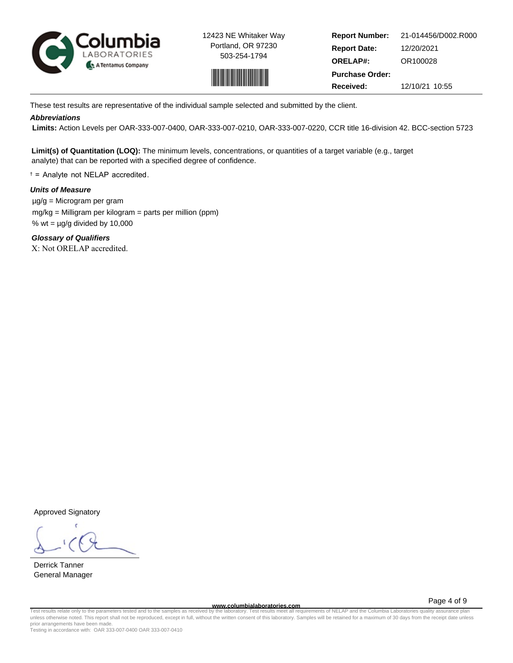



**Report Number: Report Date: ORELAP#:** 12/20/2021 OR100028 **Received:** 12/10/21 10:55 **Purchase Order:** 21-014456/D002.R000

These test results are representative of the individual sample selected and submitted by the client.

## **Abbreviations**

 **Limits:** Action Levels per OAR-333-007-0400, OAR-333-007-0210, OAR-333-007-0220, CCR title 16-division 42. BCC-section 5723

**Limit(s) of Quantitation (LOQ):** The minimum levels, concentrations, or quantities of a target variable (e.g., target analyte) that can be reported with a specified degree of confidence.

† = Analyte not NELAP accredited.

## **Units of Measure**

 µg/g = Microgram per gram mg/kg = Milligram per kilogram = parts per million (ppm) % wt =  $\mu$ g/g divided by 10,000

**Glossary of Qualifiers** X: Not ORELAP accredited.

Approved Signatory

Derrick Tanner General Manager

**www.columbialaboratories.com**

Page 4 of 9

Test results relate only to the parameters tested and to the samples as received by the laboratory. Test results meet all requirements of NELAP and the Columbia Laboratories quality assurance plan<br>unless otherwise noted. T prior arrangements have been made.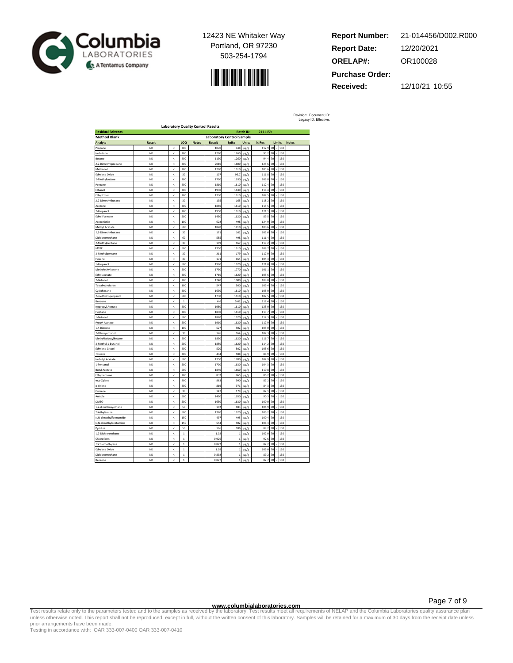



**Report Number: Report Date: ORELAP#:** 12/20/2021 OR100028 **Received:** 12/10/21 10:55 **Purchase Order:** 21-014456/D002.R000

Revision: Document ID: Legacy ID: Effective:

| <b>Laboratory Quality Control Results</b> |                |                          |                |              |               |                                  |                   |                  |    |        |              |  |
|-------------------------------------------|----------------|--------------------------|----------------|--------------|---------------|----------------------------------|-------------------|------------------|----|--------|--------------|--|
| <b>Residual Solvents</b>                  |                |                          |                |              |               |                                  | <b>Batch ID:</b>  | 2111159          |    |        |              |  |
| <b>Method Blank</b>                       |                |                          |                |              |               | <b>Laboratory Control Sample</b> |                   |                  |    |        |              |  |
| Analyte                                   | Result         |                          | LOQ            | <b>Notes</b> | <b>Result</b> | Spike                            | <b>Units</b>      | % Rec            |    | Limits | <b>Notes</b> |  |
| Propane                                   | ND             |                          | 200            |              | 107           | 948                              | µg/g              | 112.9            | 70 |        | 130          |  |
| sobutane                                  | <b>ND</b>      | ć                        | 200            |              | 1200          | 1260                             | µg/g              | 95.2             | 70 |        | 130          |  |
| <b>Butane</b>                             | <b>ND</b>      | ż                        | 200            |              | 1190          | 1260                             | ug/g              | 94.4             | 70 |        | 130          |  |
| 2-Dimethylpropane                         | ND             | ś                        | 200            |              | 2010          | 1600                             | µg/g              | 125.6            | 70 |        | 130          |  |
| Methanol                                  | <b>ND</b>      | $\overline{\phantom{a}}$ | 200            |              | 1700          | 1610                             | µg/g              | 105.6            | 70 |        | 130          |  |
| Ethylene Oxide                            | <b>ND</b>      | $\hat{~}$                | 30             |              | 10            | 95.7                             | ug/g              | 111.8            | 70 |        | 130          |  |
| 2-Methylbutane                            | <b>ND</b>      | k                        | 200            |              | 1790          | 1630                             | µg/g              | 109.8            | 70 |        | 130          |  |
| Pentane                                   | <b>ND</b>      | ≺                        | 200            |              | 1810          | 1610                             | µg/g              | 112.4            | 70 |        | 130          |  |
| Ethanol                                   | <b>ND</b>      | ż                        | 200            |              | 1930          | 163                              |                   | 118.4            | 70 |        | 130          |  |
| Ethyl Ether                               | <b>ND</b>      | $\epsilon$               | 200            |              | 1730          | 1610                             | $\mu$ g/g<br>µg/g | 107.             | 70 |        | 130          |  |
|                                           | <b>ND</b>      | k                        | 30             |              | 195           |                                  |                   |                  | 70 |        | 130          |  |
| 2,2-Dimethylbutane                        | <b>ND</b>      | $\overline{a}$           | 200            |              | 1860          | 16                               | µg/g              | 118.2<br>115.5   | 70 |        | 130          |  |
| Acetone                                   |                |                          |                |              |               | 1610                             | µg/g              |                  |    |        |              |  |
| -Propanol                                 | <b>ND</b>      | $\overline{\phantom{a}}$ | 200            |              | 1950          | 1610                             | ug/g              | 121.1            | 70 |        | 130          |  |
| Ethyl Formate                             | <b>ND</b>      | k                        | 500            |              | 1450          | 1620                             | µg/g              | 89.5             | 70 |        | 130          |  |
| Acetonitrile                              | <b>ND</b>      | ż                        | 100            |              | 62            | 498                              | µg/g              | 124.9            | 70 |        | 130          |  |
| Methyl Acetate                            | <b>ND</b>      | $\epsilon$               | 500            |              | 1820          | 1810                             | µg/g              | 100.6            | 70 |        | 130          |  |
| 2,3-Dimethylbutane                        | <b>ND</b>      | $\,<$                    | 30             |              | 17            | 162                              | µg/g              | 105.6            | 70 |        | 130          |  |
| Dichloromethane                           | <b>ND</b>      | ż                        | 60             |              | 555           | 498                              | $\mu$ g/g         | 111.4            | 70 |        | 130          |  |
| 2-Methylpentane                           | <b>ND</b>      | k                        | 30             |              | 199           | 167                              | µg/g              | 119.2            | 70 |        | 130          |  |
| <b>MTBE</b>                               | <b>ND</b>      | $\epsilon$               | 500            |              | 1750          | 1610                             | µg/g              | 108.7            | 70 |        | 130          |  |
| -Methylpentane                            | ND             | ż                        | 30             |              | 21            | 179                              | µg/g              | 117.9            | 70 |        | 130          |  |
| Hexane                                    | <b>ND</b>      | ć                        | 30             |              | 171           | 164                              | µg/g              | 104.3            | 70 |        | 130          |  |
| I-Propanol                                | <b>ND</b>      | $\hat{~}$                | 500            |              | 1960          | 1620                             | µg/g              | 121.0            | 70 |        | 130          |  |
| Aethylethylketone                         | <b>ND</b>      | ż                        | 500            |              | 1790          | 177                              | µg/g              | 1011             | 70 |        | 130          |  |
| Ethyl acetate                             | <b>ND</b>      | ż                        | 200            |              | 1710          | 1620                             | µg/g              | 1056             | 70 |        | 130          |  |
| 2-Butanol                                 | <b>ND</b>      | $\epsilon$               | 200            |              | 1740          | 1600                             | ug/g              | 108.8            | 70 |        | 130          |  |
| etrahydrofuran                            | ND             | ż                        | 100            |              | 547           | 500                              | µg/g              | 109.4            | 70 |        | 130          |  |
| Eyclohexane                               | <b>ND</b>      | ≺                        | 200            |              | 1690          | 1610                             | µg/g              | 105.0            | 70 |        | 130          |  |
| 2-methyl-1-propanol                       | <b>ND</b>      | $\hat{~}$                | 500            |              | 1730          | 161                              | µg/g              | 107.5            | 70 |        | 130          |  |
| Benzene                                   | ND             | ż                        | $\mathbf{1}$   |              | 6.6           | 5.62                             | µg/g              | 117.             | 70 |        | 130          |  |
| sopropyl Acetate                          | ND             | $\epsilon$               | 200            |              | 1980          | 1610                             | $\mu$ g/g         | 123.0            | 70 |        | 130          |  |
| Heptane                                   | <b>ND</b>      | $\hat{~}$                | 200            |              | 1830          | 1610                             | µg/g              | 113.7            | 70 |        | 130          |  |
| -Butanol                                  | <b>ND</b>      | ć                        | 500            |              | 1820          | 1620                             | µg/g              | 112.             | 70 |        | 130          |  |
|                                           | <b>ND</b>      | ć                        | 500            |              | 1910          |                                  |                   |                  | 70 |        | 130          |  |
| <b>Propyl Acetate</b><br>4-Dioxane        | <b>ND</b>      | $\overline{a}$           | 100            |              |               | 1620<br>50                       | µg/g              | 117.9<br>105.0   | 70 |        | 130          |  |
|                                           |                |                          |                |              | 527           |                                  | µg/g              |                  |    |        |              |  |
| -Ethoxyethanol                            | <b>ND</b>      | ż                        | 30             |              | 176           | 164                              | ug/g              | 107.             | 70 |        | 130          |  |
| Methylisobutylketone                      | <b>ND</b>      | $\,<$                    | 500            |              | 1890          | 1620                             | µg/g              | 116.7            | 70 |        | 130          |  |
| 3-Methyl-1-butanol                        | <b>ND</b>      | $\hat{~}$                | 500            |              | 1850          | 162                              | µg/g              | 114.2            | 70 |        | 130          |  |
| thylene Glycol                            | <b>ND</b>      | ć                        | 200            |              | 520           | 502                              | µg/g              | 103.             | 70 |        | 130          |  |
| Toluene                                   | <b>ND</b>      | ≺                        | 200            |              | 434           | 488                              | µg/g              | 88.9             | 70 |        | 130          |  |
| sobutyl Acetate                           | <b>ND</b>      | ż                        | 500            |              | 1750          | 1700                             | $\mu$ g/g         | 102.9            | 70 |        | 130          |  |
| I-Pentanol                                | <b>ND</b>      | ć                        | 500            |              | 1700          | 1630                             | µg/g              | 104.3            | 70 |        | 130          |  |
| <b>Butyl Acetate</b>                      | <b>ND</b>      | ć                        | 500            |              | 1840          | 1660                             | µg/g              | 110.8            | 70 |        | 130          |  |
| Ethylbenzene                              | ND <sub></sub> | ż                        | 200            |              | 837           | 96                               | µg/g              | 86.              | 70 |        | 130          |  |
| m,p-Xylene                                | <b>ND</b>      | $\hat{~}$                | 200            |              | 863           | 990                              | µg/g              | 87.2             | 70 |        | 130          |  |
| b-Xylene                                  | <b>ND</b>      | $\overline{\phantom{a}}$ | 200            |              | 819           | 971                              | µg/g              | 84.3             | 70 |        | 130          |  |
| Cumene                                    | <b>ND</b>      | ż                        | 30             |              | 14            | 179                              | µg/g              | 82.1             | 70 |        | 130          |  |
| Anisole                                   | <b>ND</b>      | $\epsilon$               | 500            |              | 1490          | 1650                             | µg/g              | 90.3             | 70 |        | 130          |  |
| DMSO                                      | <b>ND</b>      | $\,<$                    | 500            |              | 1630          | 1630                             | ug/g              | 100.0            | 70 |        | 130          |  |
| ,2-dimethoxyethane                        | <b>ND</b>      | k                        | 50             |              | 192           | 18                               | $\mu$ g/g         | 104 <sub>5</sub> | 70 |        | 130          |  |
| Triethylamine                             | <b>ND</b>      | $\epsilon$               | 500            |              | 1720          | 1620                             | µg/g              | 106.2            | 70 |        | 130          |  |
| N,N-dimethylformamide                     | ND             | ć                        | 150            |              | 497           | 495                              | µg/g              | 100.4            | 70 |        | 130          |  |
| N,N-dimethylacetamide                     | ND             | ż                        | 150            |              | 544           | 502                              | µg/g              | 108.4            | 70 |        | 130          |  |
| Pyridine                                  | <b>ND</b>      | k                        | 50             |              | 166           | 186                              | µg/g              | 89.2             | 70 |        | 130          |  |
| 1,2-Dichloroethane                        | <b>ND</b>      | $\hat{~}$                | $\mathbf 1$    |              | 1.02          |                                  | µg/g              | 102.0            | 70 |        | 130          |  |
| hloroform                                 | <b>ND</b>      | ż                        | $\overline{1}$ |              | 0.926         |                                  | µg/g              | 92.6             | 70 |        | 130          |  |
| Trichloroethylene                         | <b>ND</b>      | ć                        | $\mathbf{1}$   |              | 0.827         |                                  | µg/g              | 82:              | 70 |        | 130          |  |
| Ethylene Oxide                            | <b>ND</b>      | $\epsilon$               | $\mathbf 1$    |              | 1.09          |                                  | ug/g              | 109.0            | 70 |        | 130          |  |
| Dichloromethane                           | ND             | ć                        | $\mathbf{1}$   |              | 0.897         |                                  | µg/g              | 89.2             | 70 |        | 130          |  |
|                                           | <b>ND</b>      |                          |                |              | 0.827         | 1                                |                   |                  |    |        | 130          |  |
| Benzene                                   |                | ≺                        | $\mathbf{1}$   |              |               |                                  | ug/g              | 82.7             | 70 |        |              |  |

**WWW.columbialaboratories.com**<br>unless otherwise noted. This report shall not be reproduced, except in full, without the written consent of this laboratory. Test results meet all requirements of NELAP and the Columbia Labor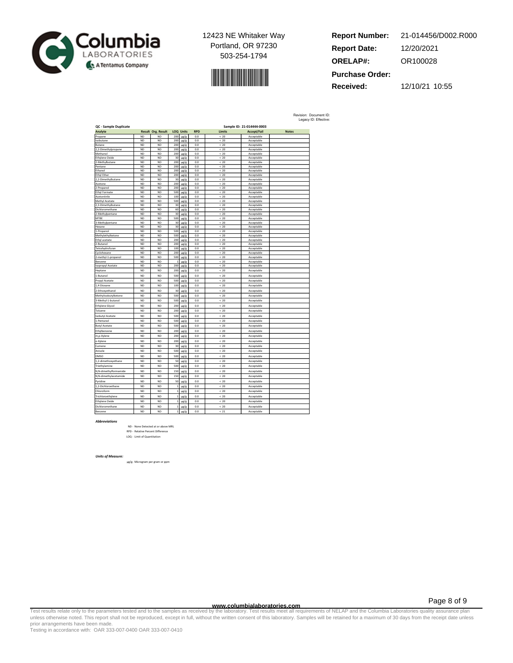

$$
\mathcal{L}^{\text{max}}_{\text{max}}
$$

**Report Number: Report Date: ORELAP#:** 12/20/2021 OR100028 **Received:** 12/10/21 10:55 **Purchase Order:** 21-014456/D002.R000

Revision: Document ID: Legacy ID: Effective:

| QC - Sample Duplicate<br>Analyte |                        | <b>Result Org. Result</b> |                | <b>LOQ Units</b>  | <b>RPD</b>     | <b>Limits</b> | Sample ID: 21-014444-0003<br>Accept/Fail | <b>Notes</b> |
|----------------------------------|------------------------|---------------------------|----------------|-------------------|----------------|---------------|------------------------------------------|--------------|
|                                  | ND <sub></sub>         | <b>ND</b>                 | 200            |                   | 0 <sub>0</sub> | 20            |                                          |              |
| Propane                          | <b>ND</b>              | <b>ND</b>                 | 200            | ug/g              |                |               | Acceptable                               |              |
| sobutane<br>Butane               | <b>ND</b>              | ND                        | 200            | ug/g<br>$\mu$ g/g | 0.0<br>0.0     | < 20<br>< 20  | Acceptable<br>Acceptable                 |              |
| 2,2-Dimethylpropane              | <b>ND</b>              | <b>ND</b>                 | 200            | $\mu$ g/g         | 0.0            | < 20          | Acceptable                               |              |
| Methanol                         | <b>ND</b>              | <b>ND</b>                 | 200            | ue/e              | 0.0            | < 20          | Acceptable                               |              |
| Ethylene Oxide                   | <b>ND</b>              | ND                        | 30             | ug/g              | 0.0            | < 20          | Acceptable                               |              |
| 2-Methylbutane                   | <b>ND</b>              | <b>ND</b>                 | 200            | ug/g              | 0.0            | < 20          | Acceptable                               |              |
| Pentane                          | <b>ND</b>              | ND                        | 200            | µg/g              | 0.0            | < 20          | Acceptable                               |              |
| Ethanol                          | <b>ND</b>              | <b>ND</b>                 | 200            | $\mu$ g/g         | 0.0            | < 20          | Acceptable                               |              |
| Ethyl Ether                      | <b>ND</b>              | ND                        | 200            | ug/g              | 0.0            | < 20          | Acceptable                               |              |
| 2-Dimethylbutane                 | <b>ND</b>              | ND                        | 30             | ug/g              | 0.0            | < 20          | Acceptable                               |              |
| Acetone                          | <b>ND</b>              | ND                        | 200            | ug/g              | 0.0            | < 20          | Acceptable                               |              |
| 2-Propanol                       | <b>ND</b>              | ND                        | 200            | $\mu$ g/g         | 0.0            | < 20          | Acceptable                               |              |
| <b>Ethyl Formate</b>             | <b>ND</b>              | <b>ND</b>                 | 500            | ug/g              | 0.0            | < 20          | Acceptable                               |              |
| Acetonitrile                     | N <sub>D</sub>         | <b>ND</b>                 | 100            | ug/g              | 0 <sub>0</sub> | 20            | Acceptable                               |              |
| Methyl Acetate                   | <b>ND</b>              | ND                        | 500            | ug/g              | 0.0            | < 20          | Acceptable                               |              |
| 2,3-Dimethylbutane               | <b>ND</b>              | ND                        | 30             | µg/g              | 0.0            | < 20          | Acceptable                               |              |
| Dichloromethane                  | <b>ND</b>              | <b>ND</b>                 | 60             | ug/g              | 0.0            | < 20          | Acceptable                               |              |
| 2-Methylpentane<br><b>MTRF</b>   | <b>ND</b><br><b>ND</b> | ND                        | 30<br>500      | ug/g              | 0.0<br>0.0     | < 20          | Acceptable                               |              |
| 3-Methylpentane                  | <b>ND</b>              | ND<br>ND                  | 30             | ug/g              | 0.0            | < 20<br>< 20  | Acceptable<br>Acceptable                 |              |
| Hexane                           | <b>ND</b>              | <b>ND</b>                 | 30             | µg/g<br>$\mu$ g/g | 0.0            | < 20          | Acceptable                               |              |
| -Propanol                        | <b>ND</b>              | ND                        | 500            | ug/g              | 0.0            | < 20          | Acceptable                               |              |
| Methylethylketone                | N <sub>D</sub>         | <b>ND</b>                 | 500            | ug/g              | 0 <sub>0</sub> | 20            | Acceptable                               |              |
| thyl acetate                     | <b>ND</b>              | ND                        | 200            | ug/g              | 0.0            | < 20          | Acceptable                               |              |
| 2-Butanol                        | <b>ND</b>              | ND                        | 200            | µg/g              | 0.0            | < 20          | Acceptable                               |              |
| Tetrahydrofuran                  | <b>ND</b>              | <b>ND</b>                 | 100            | ug/g              | 0.0            | < 20          | Acceptable                               |              |
| Cyclohexane                      | <b>ND</b>              | ND                        | 200            | ug/g              | 0.0            | < 20          | Acceptable                               |              |
| methyl-1-propanol                | <b>ND</b>              | <b>ND</b>                 | 500            | ug/g              | 0.0            | < 20          | Acceptable                               |              |
| Benzene                          | <b>ND</b>              | ND                        | ĵ              | µg/g              | 0.0            | < 20          | Acceptable                               |              |
| sopropyl Acetate                 | <b>ND</b>              | <b>ND</b>                 | 200            | µg/g              | 0.0            | < 20          | Acceptable                               |              |
| Heptane                          | <b>ND</b>              | <b>ND</b>                 | 200            | ug/g              | 0.0            | < 20          | Acceptable                               |              |
| I-Butanol                        | <b>ND</b>              | <b>ND</b>                 | 500            | µg/g              | 0.0            | < 20          | Acceptable                               |              |
| Propyl Acetate                   | <b>ND</b>              | <b>ND</b>                 | 500            | µg/g              | 0.0            | < 20          | Acceptable                               |              |
| 1,4-Dioxane                      | <b>ND</b>              | <b>ND</b>                 | 100            | ug/g              | 0.0            | < 20          | Acceptable                               |              |
| 2-Ethoxyethanol                  | <b>ND</b>              | ND                        | 30             | µg/g              | 0.0            | < 20          | Acceptable                               |              |
| Methylisobutylketone             | <b>ND</b>              | <b>ND</b>                 | 500            | µg/g              | 0.0            | < 20          | Acceptable                               |              |
|                                  | N <sub>D</sub>         | <b>ND</b>                 | 500            |                   | 0.0            | < 20          |                                          |              |
| 3-Methyl-1-butanol               |                        |                           |                | µg/g              |                |               | Acceptable                               |              |
| Ethylene Glycol                  | <b>ND</b>              | ND                        | 200            | ug/g              | 0.0            | < 20          | Acceptable                               |              |
| Toluene                          | <b>ND</b>              | ND                        | 200            | µg/g              | 0.0            | < 20          | Acceptable                               |              |
| sobutyl Acetate                  | <b>ND</b>              | <b>ND</b>                 | 500            | ug/g              | 0.0            | < 20          | Acceptable                               |              |
| 1-Pentanol                       | <b>ND</b>              | ND                        | 500            | ug/g              | 0.0            | < 20          | Acceptable                               |              |
| <b>Butyl Acetate</b>             | <b>ND</b>              | <b>ND</b>                 | 500            | µg/g              | 0.0            | < 20          | Acceptable                               |              |
| Ethylbenzene                     | N <sub>D</sub>         | <b>ND</b>                 | 200            | ug/g              | 0.0            | < 20          | Acceptable                               |              |
| m,p-Xylene                       | <b>ND</b>              | ND                        | 200            | µg/g              | 0.0            | < 20          | Acceptable                               |              |
| -Xylene                          | <b>ND</b>              | ND                        | 200            | ug/g              | 0.0            | < 20          | Acceptable                               |              |
| Cumene                           | <b>ND</b>              | <b>ND</b>                 | 30             | ug/g              | 0.0            | < 20          | Acceptable                               |              |
| Anisole                          | <b>ND</b>              | ND                        | 500            |                   | 0.0            | < 20          | Acceptable                               |              |
|                                  |                        |                           |                | µg/g              |                |               |                                          |              |
| DMSO                             | <b>ND</b>              | <b>ND</b>                 | 500            | µg/g              | 0.0            | < 20          | Accentable                               |              |
| 1,2-dimethoxyethane              | <b>ND</b>              | <b>ND</b>                 | 50             | µg/g              | 0.0            | < 20          | Acceptable                               |              |
| Triethylamine                    | <b>ND</b>              | <b>ND</b>                 | 500            | µg/g              | 0.0            | < 20          | Acceptable                               |              |
| N,N-dimethylformamide            | <b>ND</b>              | ND                        | 150            | µg/g              | 0.0            | < 20          | Acceptable                               |              |
| N,N-dimethylacetamide            | <b>ND</b>              | ND                        | 150            | ug/g              | 0.0            | < 20          | Acceptable                               |              |
| Pyridine                         | <b>ND</b>              | <b>ND</b>                 | 50             | µg/g              | 0.0            | < 20          | Acceptable                               |              |
| 1.2-Dichloroethane               | <b>ND</b>              | <b>ND</b>                 | $\overline{1}$ | µg/g              | 0.0            | < 20          | Acceptable                               |              |
| Chloroform                       | N <sub>D</sub>         | <b>ND</b>                 | f              | µg/g              | 0.0            | 20            | Acceptable                               |              |
|                                  | <b>ND</b>              | <b>ND</b>                 |                |                   |                | < 20          |                                          |              |
| Trichloroethylene                |                        |                           | $\overline{1}$ | µg/g              | 0.0            |               | Acceptable                               |              |
| Ethylene Oxide                   | <b>ND</b>              | <b>ND</b>                 | Ï              | µg/g              | 0.0            | < 20          | Acceptable                               |              |
| Dichloromethane                  | <b>ND</b>              | ND                        | Ï              | ug/g              | 0.0            | < 20          | Acceptable                               |              |
| Benzene                          | <b>ND</b>              | <b>ND</b>                 | $\overline{1}$ | µg/g              | 0.0            | < 21          | Acceptable                               |              |

#### *Abbreviations*

ND - None Detected at or above MRL RPD - Relative Percent Difference LOQ - Limit of Quantitation

#### *Units of Measure:*

µg/g- Microgram per gram or ppm

Page 8 of 9

www.columbialaboratories.com<br>Test results relate only to the parameters tested and to the samples as received by the laboratories metall requirements of NELAP and the Columbia Laboratories quality assurance plan<br>unless oth prior arrangements have been made.